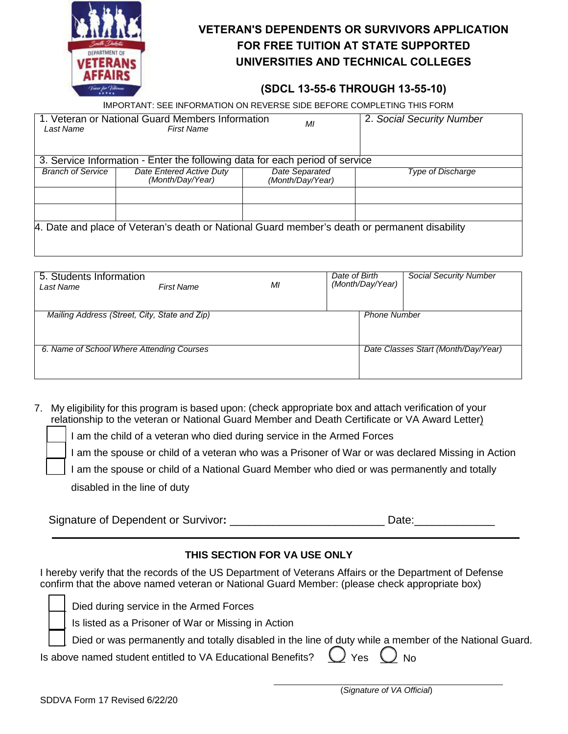

# **VETERAN'S DEPENDENTS OR SURVIVORS APPLICATION FOR FREE TUITION AT STATE SUPPORTED UNIVERSITIES AND TECHNICAL COLLEGES**

## **(SDCL 13-55-6 THROUGH 13-55-10)**

IMPORTANT: SEE INFORMATION ON REVERSE SIDE BEFORE COMPLETING THIS FORM

| Last Name                                                                    | 1. Veteran or National Guard Members Information<br><b>First Name</b>                         | ΜI                                 | 2. Social Security Number |  |  |  |
|------------------------------------------------------------------------------|-----------------------------------------------------------------------------------------------|------------------------------------|---------------------------|--|--|--|
|                                                                              |                                                                                               |                                    |                           |  |  |  |
| 3. Service Information - Enter the following data for each period of service |                                                                                               |                                    |                           |  |  |  |
| <b>Branch of Service</b>                                                     | Date Entered Active Duty<br>(Month/Day/Year)                                                  | Date Separated<br>(Month/Day/Year) | <b>Type of Discharge</b>  |  |  |  |
|                                                                              |                                                                                               |                                    |                           |  |  |  |
|                                                                              |                                                                                               |                                    |                           |  |  |  |
|                                                                              | 4. Date and place of Veteran's death or National Guard member's death or permanent disability |                                    |                           |  |  |  |

| 5. Students Information<br>Last Name          | <b>First Name</b> | MI | Date of Birth | (Month/Day/Year)    | <b>Social Security Number</b>       |
|-----------------------------------------------|-------------------|----|---------------|---------------------|-------------------------------------|
| Mailing Address (Street, City, State and Zip) |                   |    |               | <b>Phone Number</b> |                                     |
| 6. Name of School Where Attending Courses     |                   |    |               |                     | Date Classes Start (Month/Day/Year) |

7. My eligibility for this program is based upon: (check appropriate box and attach verification of your relationship to the veteran or National Guard Member and Death Certificate or VA Award Letter)

I am the child of a veteran who died during service in the Armed Forces

I am the spouse or child of a veteran who was a Prisoner of War or was declared Missing in Action

I am the spouse or child of a National Guard Member who died or was permanently and totally

disabled in the line of duty

| Signature of Dependent or Survivor: | Date: |
|-------------------------------------|-------|
|                                     |       |

## **THIS SECTION FOR VA USE ONLY**

I hereby verify that the records of the US Department of Veterans Affairs or the Department of Defense confirm that the above named veteran or National Guard Member: (please check appropriate box)

|  | Died during service in the Armed Forces                                                                |
|--|--------------------------------------------------------------------------------------------------------|
|  | Is listed as a Prisoner of War or Missing in Action                                                    |
|  | Died or was permanently and totally disabled in the line of duty while a member of the National Guard. |
|  | Is above named student entitled to VA Educational Benefits? $\bigcirc$ Yes $\bigcirc$ No               |